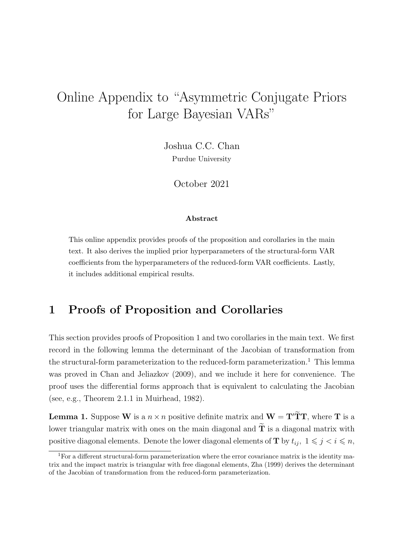## Online Appendix to "Asymmetric Conjugate Priors for Large Bayesian VARs"

Joshua C.C. Chan Purdue University

October 2021

#### Abstract

This online appendix provides proofs of the proposition and corollaries in the main text. It also derives the implied prior hyperparameters of the structural-form VAR coefficients from the hyperparameters of the reduced-form VAR coefficients. Lastly, it includes additional empirical results.

#### 1 Proofs of Proposition and Corollaries

This section provides proofs of Proposition 1 and two corollaries in the main text. We first record in the following lemma the determinant of the Jacobian of transformation from the structural-form parameterization to the reduced-form parameterization.<sup>1</sup> This lemma was proved in Chan and Jeliazkov (2009), and we include it here for convenience. The proof uses the differential forms approach that is equivalent to calculating the Jacobian (see, e.g., Theorem 2.1.1 in Muirhead, 1982).

**Lemma 1.** Suppose W is a  $n \times n$  positive definite matrix and  $W = T'\tilde{T}T$ , where T is a lower triangular matrix with ones on the main diagonal and  $\widetilde{\mathbf{T}}$  is a diagonal matrix with positive diagonal elements. Denote the lower diagonal elements of **T** by  $t_{ij}$ ,  $1 \leq j \leq i \leq n$ ,

<sup>&</sup>lt;sup>1</sup>For a different structural-form parameterization where the error covariance matrix is the identity matrix and the impact matrix is triangular with free diagonal elements, Zha (1999) derives the determinant of the Jacobian of transformation from the reduced-form parameterization.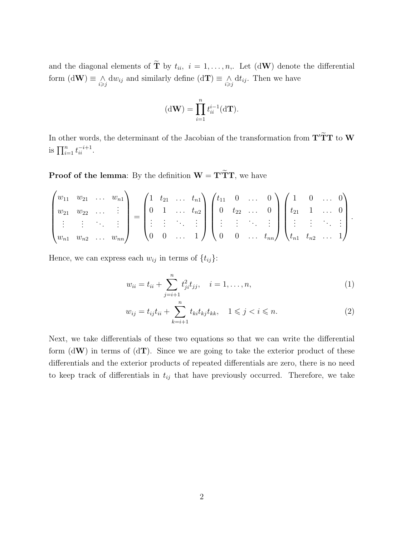and the diagonal elements of  $\tilde{\mathbf{T}}$  by  $t_{ii}$ ,  $i = 1, \ldots, n$ ,. Let  $(d\mathbf{W})$  denote the differential form  $(d\mathbf{W}) \equiv \bigwedge_{i \geq j} dw_{ij}$  and similarly define  $(d\mathbf{T}) \equiv \bigwedge_{i \geq j} dt_{ij}$ . Then we have

$$
(\mathrm{d}\mathbf{W}) = \prod_{i=1}^{n} t_{ii}^{i-1}(\mathrm{d}\mathbf{T}).
$$

In other words, the determinant of the Jacobian of the transformation from  $\mathbf{T}'\widetilde{\mathbf{T}}\mathbf{T}$  to  $\mathbf{W}$ is  $\prod_{i=1}^{n} t_{ii}^{-i+1}$ .

**Proof of the lemma:** By the definition  $W = T'\tilde{T}T$ , we have

$$
\begin{pmatrix} w_{11} & w_{21} & \dots & w_{n1} \\ w_{21} & w_{22} & \dots & \vdots \\ \vdots & \vdots & \ddots & \vdots \\ w_{n1} & w_{n2} & \dots & w_{nn} \end{pmatrix} = \begin{pmatrix} 1 & t_{21} & \dots & t_{n1} \\ 0 & 1 & \dots & t_{n2} \\ \vdots & \vdots & \ddots & \vdots \\ 0 & 0 & \dots & 1 \end{pmatrix} \begin{pmatrix} t_{11} & 0 & \dots & 0 \\ 0 & t_{22} & \dots & 0 \\ \vdots & \vdots & \ddots & \vdots \\ 0 & 0 & \dots & t_{nn} \end{pmatrix} \begin{pmatrix} 1 & 0 & \dots & 0 \\ t_{21} & 1 & \dots & 0 \\ \vdots & \vdots & \ddots & \vdots \\ t_{n1} & t_{n2} & \dots & 1 \end{pmatrix}.
$$

Hence, we can express each  $w_{ij}$  in terms of  $\{t_{ij}\}$ :

$$
w_{ii} = t_{ii} + \sum_{j=i+1}^{n} t_{ji}^{2} t_{jj}, \quad i = 1, \dots, n,
$$
\n(1)

$$
w_{ij} = t_{ij}t_{ii} + \sum_{k=i+1}^{n} t_{ki}t_{kj}t_{kk}, \quad 1 \le j < i \le n. \tag{2}
$$

Next, we take differentials of these two equations so that we can write the differential form  $(dW)$  in terms of  $(dT)$ . Since we are going to take the exterior product of these differentials and the exterior products of repeated differentials are zero, there is no need to keep track of differentials in  $t_{ij}$  that have previously occurred. Therefore, we take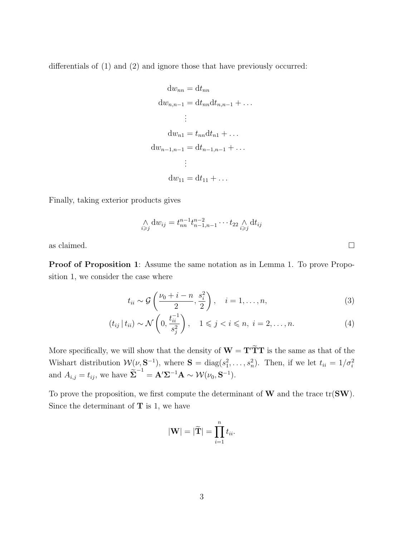differentials of (1) and (2) and ignore those that have previously occurred:

$$
dw_{nn} = dt_{nn}
$$
  
\n
$$
dw_{n,n-1} = dt_{nn} dt_{n,n-1} + \dots
$$
  
\n
$$
\vdots
$$
  
\n
$$
dw_{n1} = t_{nn} dt_{n1} + \dots
$$
  
\n
$$
dw_{n-1,n-1} = dt_{n-1,n-1} + \dots
$$
  
\n
$$
\vdots
$$
  
\n
$$
dw_{11} = dt_{11} + \dots
$$

Finally, taking exterior products gives

$$
\underset{i \geq j}{\wedge} dw_{ij} = t_{nn}^{n-1} t_{n-1,n-1}^{n-2} \cdots t_{22} \underset{i \geq j}{\wedge} dt_{ij}
$$

as claimed.  $\Box$ 

Proof of Proposition 1: Assume the same notation as in Lemma 1. To prove Proposition 1, we consider the case where

$$
t_{ii} \sim \mathcal{G}\left(\frac{\nu_0 + i - n}{2}, \frac{s_i^2}{2}\right), \quad i = 1, \dots, n,
$$
\n
$$
(3)
$$

$$
(t_{ij} \mid t_{ii}) \sim \mathcal{N}\left(0, \frac{t_{ii}^{-1}}{s_j^2}\right), \quad 1 \leqslant j < i \leqslant n, \ i = 2, \dots, n. \tag{4}
$$

More specifically, we will show that the density of  $\mathbf{W} = \mathbf{T}' \tilde{\mathbf{T}} \mathbf{T}$  is the same as that of the Wishart distribution  $W(\nu, \mathbf{S}^{-1})$ , where  $\mathbf{S} = \text{diag}(s_1^2, \dots, s_n^2)$ . Then, if we let  $t_{ii} = 1/\sigma_i^2$ and  $A_{i,j} = t_{ij}$ , we have  $\widetilde{\Sigma}^{-1} = \mathbf{A}' \Sigma^{-1} \mathbf{A} \sim \mathcal{W}(\nu_0, \mathbf{S}^{-1})$ .

To prove the proposition, we first compute the determinant of  $W$  and the trace  $tr(SW)$ . Since the determinant of  $T$  is 1, we have

$$
|\mathbf{W}| = |\widetilde{\mathbf{T}}| = \prod_{i=1}^n t_{ii}.
$$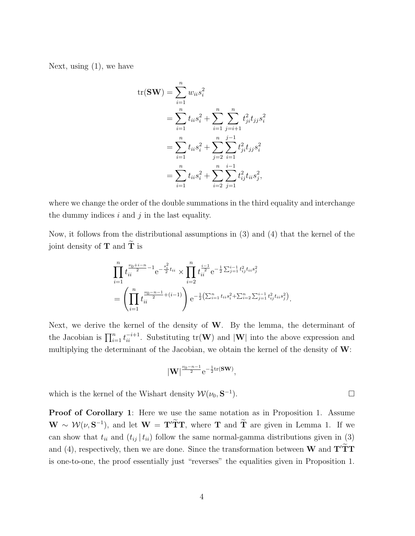Next, using (1), we have

$$
tr(SW) = \sum_{i=1}^{n} w_{ii} s_i^2
$$
  
= 
$$
\sum_{i=1}^{n} t_{ii} s_i^2 + \sum_{i=1}^{n} \sum_{j=i+1}^{n} t_{ji}^2 t_{jj} s_i^2
$$
  
= 
$$
\sum_{i=1}^{n} t_{ii} s_i^2 + \sum_{j=2}^{n} \sum_{i=1}^{j-1} t_{ji}^2 t_{jj} s_i^2
$$
  
= 
$$
\sum_{i=1}^{n} t_{ii} s_i^2 + \sum_{i=2}^{n} \sum_{j=1}^{i-1} t_{ij}^2 t_{ii} s_j^2,
$$

where we change the order of the double summations in the third equality and interchange the dummy indices  $i$  and  $j$  in the last equality.

Now, it follows from the distributional assumptions in (3) and (4) that the kernel of the joint density of **T** and  $\widetilde{\mathbf{T}}$  is

$$
\prod_{i=1}^{n} t_{ii}^{\frac{\nu_0 + i - n}{2} - 1} e^{-\frac{s_i^2}{2} t_{ii}} \times \prod_{i=2}^{n} t_{ii}^{\frac{i-1}{2}} e^{-\frac{1}{2} \sum_{j=1}^{i-1} t_{ij}^2 t_{ii} s_j^2}
$$
\n
$$
= \left( \prod_{i=1}^{n} t_{ii}^{\frac{\nu_0 - n - 1}{2} + (i-1)} \right) e^{-\frac{1}{2} \left( \sum_{i=1}^{n} t_{ii} s_i^2 + \sum_{i=2}^{n} \sum_{j=1}^{i-1} t_{ij}^2 t_{ii} s_j^2 \right)}.
$$

Next, we derive the kernel of the density of  $W$ . By the lemma, the determinant of the Jacobian is  $\prod_{i=1}^n t_{ii}^{-i+1}$ . Substituting  $\text{tr}(\mathbf{W})$  and  $|\mathbf{W}|$  into the above expression and multiplying the determinant of the Jacobian, we obtain the kernel of the density of W:

$$
|\mathbf{W}|^{\frac{\nu_0-n-1}{2}}\mathrm{e}^{-\frac{1}{2}\mathrm{tr}(\mathbf{S}\mathbf{W})},
$$

which is the kernel of the Wishart density  $\mathcal{W}(\nu_0, \mathbf{S}^{-1})$  $\Box$ 

Proof of Corollary 1: Here we use the same notation as in Proposition 1. Assume  $\mathbf{W} \sim \mathcal{W}(\nu, \mathbf{S}^{-1}),$  and let  $\mathbf{W} = \mathbf{T}' \mathbf{T} \mathbf{T}$ , where **T** and  $\mathbf{T}$  are given in Lemma 1. If we can show that  $t_{ii}$  and  $(t_{ij} | t_{ii})$  follow the same normal-gamma distributions given in (3) and (4), respectively, then we are done. Since the transformation between  $W$  and  $T'TT$ is one-to-one, the proof essentially just "reverses" the equalities given in Proposition 1.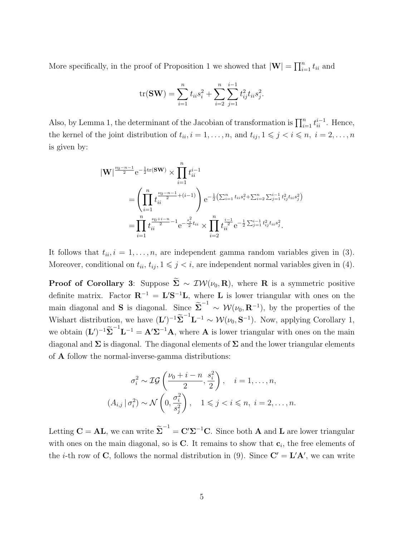More specifically, in the proof of Proposition 1 we showed that  $|\mathbf{W}| = \prod_{i=1}^n t_{ii}$  and

$$
\text{tr}(\mathbf{SW}) = \sum_{i=1}^{n} t_{ii} s_i^2 + \sum_{i=2}^{n} \sum_{j=1}^{i-1} t_{ij}^2 t_{ii} s_j^2.
$$

Also, by Lemma 1, the determinant of the Jacobian of transformation is  $\prod_{i=1}^{n} t_{ii}^{i-1}$ . Hence, the kernel of the joint distribution of  $t_{ii}$ ,  $i = 1, \ldots, n$ , and  $t_{ij}$ ,  $1 \leq j \leq i \leq n$ ,  $i = 2, \ldots, n$ is given by:

$$
\begin{split} |\mathbf{W}|^{\frac{\nu_{0}-n-1}{2}}\mathrm{e}^{-\frac{1}{2}\mathrm{tr}(\mathbf{SW})}\times\prod_{i=1}^{n}t_{ii}^{i-1} \\ & =\left(\prod_{i=1}^{n}t_{ii}^{\frac{\nu_{0}-n-1}{2}+(i-1)}\right)\mathrm{e}^{-\frac{1}{2}\left(\sum_{i=1}^{n}t_{ii}s_{i}^{2}+\sum_{i=2}^{n}\sum_{j=1}^{i-1}t_{ij}^{2}t_{ii}s_{j}^{2}\right)} \\ & =\prod_{i=1}^{n}t_{ii}^{\frac{\nu_{0}+i-n}{2}-1}\mathrm{e}^{-\frac{s_{i}^{2}}{2}t_{ii}}\times\prod_{i=2}^{n}t_{ii}^{\frac{i-1}{2}}\mathrm{e}^{-\frac{1}{2}\sum_{j=1}^{i-1}t_{ij}^{2}t_{ii}s_{j}^{2}}.\end{split}
$$

It follows that  $t_{ii}$ ,  $i = 1, \ldots, n$ , are independent gamma random variables given in (3). Moreover, conditional on  $t_{ii}$ ,  $t_{ij}$ ,  $1 \leq j \leq i$ , are independent normal variables given in (4).

**Proof of Corollary 3:** Suppose  $\widetilde{\Sigma} \sim \mathcal{IW}(\nu_0, \mathbf{R})$ , where **R** is a symmetric positive definite matrix. Factor  $\mathbf{R}^{-1} = \mathbf{L}'\mathbf{S}^{-1}\mathbf{L}$ , where L is lower triangular with ones on the main diagonal and S is diagonal. Since  $\tilde{\Sigma}^{-1} \sim \mathcal{W}(\nu_0, \mathbf{R}^{-1})$ , by the properties of the Wishart distribution, we have  $(\mathbf{L}')^{-1}\widetilde{\boldsymbol{\Sigma}}^{-1}\mathbf{L}^{-1} \sim \mathcal{W}(\nu_0, \mathbf{S}^{-1})$ . Now, applying Corollary 1, we obtain  $(L')^{-1}\tilde{\Sigma}^{-1}L^{-1} = A'\Sigma^{-1}A$ , where A is lower triangular with ones on the main diagonal and  $\Sigma$  is diagonal. The diagonal elements of  $\Sigma$  and the lower triangular elements of A follow the normal-inverse-gamma distributions:

$$
\sigma_i^2 \sim \mathcal{IG}\left(\frac{\nu_0 + i - n}{2}, \frac{s_i^2}{2}\right), \quad i = 1, \dots, n,
$$
  

$$
(A_{i,j} | \sigma_i^2) \sim \mathcal{N}\left(0, \frac{\sigma_i^2}{s_j^2}\right), \quad 1 \leq j < i \leq n, \ i = 2, \dots, n.
$$

Letting  $\mathbf{C} = \mathbf{AL}$ , we can write  $\widetilde{\boldsymbol{\Sigma}}^{-1} = \mathbf{C}' \boldsymbol{\Sigma}^{-1} \mathbf{C}$ . Since both  $\mathbf{A}$  and  $\mathbf{L}$  are lower triangular with ones on the main diagonal, so is  $C$ . It remains to show that  $c_i$ , the free elements of the *i*-th row of C, follows the normal distribution in (9). Since  $C' = L'A'$ , we can write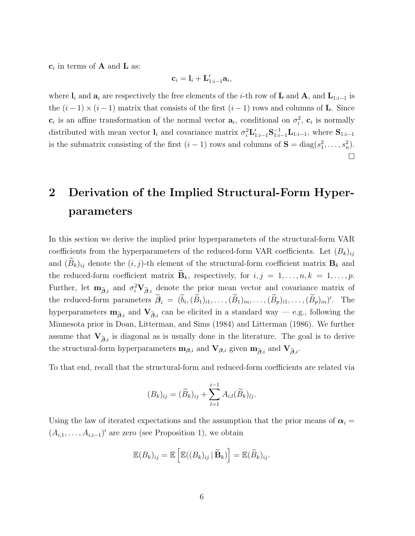$c_i$  in terms of **A** and **L** as:

$$
\mathbf{c}_i = \mathbf{l}_i + \mathbf{L}'_{1:i-1}\mathbf{a}_i,
$$

where  $\mathbf{l}_i$  and  $\mathbf{a}_i$  are respectively the free elements of the *i*-th row of **L** and **A**, and  $\mathbf{L}_{1:i-1}$  is the  $(i-1) \times (i-1)$  matrix that consists of the first  $(i-1)$  rows and columns of **L**. Since  $\mathbf{c}_i$  is an affine transformation of the normal vector  $\mathbf{a}_i$ , conditional on  $\sigma_i^2$ ,  $\mathbf{c}_i$  is normally distributed with mean vector  $\mathbf{l}_i$  and covariance matrix  $\sigma_i^2 \mathbf{L}'_{1:i-1} \mathbf{S}_{1:i-1}^{-1} \mathbf{L}_{1:i-1}$ , where  $\mathbf{S}_{1:i-1}$ is the submatrix consisting of the first  $(i-1)$  rows and columns of  $S = diag(s_1^2, \ldots, s_n^2)$ .  $\Box$ 

## 2 Derivation of the Implied Structural-Form Hyperparameters

In this section we derive the implied prior hyperparameters of the structural-form VAR coefficients from the hyperparameters of the reduced-form VAR coefficients. Let  $(B_k)_{ij}$ and  $(\widetilde{B}_k)_{ij}$  denote the  $(i, j)$ -th element of the structural-form coefficient matrix  $B_k$  and the reduced-form coefficient matrix  $\mathbf{B}_k$ , respectively, for  $i, j = 1, \ldots, n, k = 1, \ldots, p$ . Further, let  $\mathbf{m}_{\tilde{\boldsymbol{\beta}},i}$  and  $\sigma_i^2 \mathbf{V}_{\tilde{\boldsymbol{\beta}},i}$  denote the prior mean vector and covariance matrix of the reduced-form parameters  $\hat{\beta}_i = (b_i, (\tilde{B}_1)_{i1}, \ldots, (\tilde{B}_1)_{in}, \ldots, (\tilde{B}_p)_{i1}, \ldots, (\tilde{B}_p)_{in})'$ . The hyperparameters  $\mathbf{m}_{\tilde{\beta},i}$  and  $\mathbf{V}_{\tilde{\beta},i}$  can be elicited in a standard way — e.g., following the Minnesota prior in Doan, Litterman, and Sims (1984) and Litterman (1986). We further assume that  $V_{\tilde{\beta},i}$  is diagonal as is usually done in the literature. The goal is to derive the structural-form hyperparameters  $m_{\beta,i}$  and  $V_{\beta,i}$  given  $m_{\tilde{\beta},i}$  and  $V_{\tilde{\beta},i}$ .

To that end, recall that the structural-form and reduced-form coefficients are related via

$$
(B_k)_{ij} = (\widetilde{B}_k)_{ij} + \sum_{l=1}^{i-1} A_{i,l} (\widetilde{B}_k)_{lj}.
$$

Using the law of iterated expectations and the assumption that the prior means of  $\alpha_i =$  $(A_{i,1},\ldots,A_{i,i-1})'$  are zero (see Proposition 1), we obtain

$$
\mathbb{E}(B_k)_{ij} = \mathbb{E}\left[\mathbb{E}((B_k)_{ij} | \widetilde{\mathbf{B}}_k)\right] = \mathbb{E}(\widetilde{B}_k)_{ij}.
$$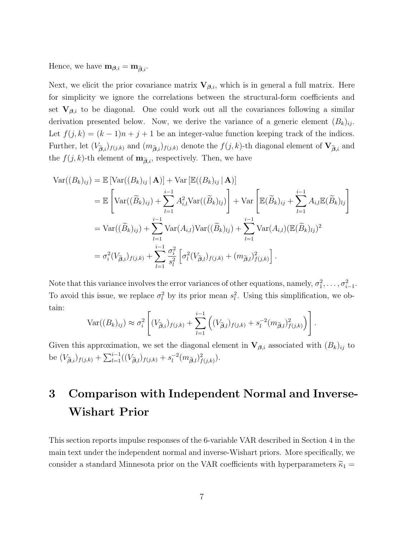Hence, we have  $\mathbf{m}_{\boldsymbol{\beta},i} = \mathbf{m}_{\tilde{\boldsymbol{\beta}},i}$ .

Next, we elicit the prior covariance matrix  $V_{\beta,i}$ , which is in general a full matrix. Here for simplicity we ignore the correlations between the structural-form coefficients and set  $V_{\beta,i}$  to be diagonal. One could work out all the covariances following a similar derivation presented below. Now, we derive the variance of a generic element  $(B_k)_{ij}$ . Let  $f(j, k) = (k - 1)n + j + 1$  be an integer-value function keeping track of the indices. Further, let  $(V_{\tilde{\beta},i})_{f(j,k)}$  and  $(m_{\tilde{\beta},i})_{f(j,k)}$  denote the  $f(j,k)$ -th diagonal element of  $V_{\tilde{\beta},i}$  and the  $f(j, k)$ -th element of  $\mathbf{m}_{\tilde{\boldsymbol{\beta}}, i}$ , respectively. Then, we have

$$
\operatorname{Var}((B_k)_{ij}) = \mathbb{E}\left[\operatorname{Var}((B_k)_{ij} | \mathbf{A})\right] + \operatorname{Var}\left[\mathbb{E}((B_k)_{ij} | \mathbf{A})\right]
$$
  
\n
$$
= \mathbb{E}\left[\operatorname{Var}((\widetilde{B}_k)_{ij}) + \sum_{l=1}^{i-1} A_{i,l}^2 \operatorname{Var}((\widetilde{B}_k)_{lj})\right] + \operatorname{Var}\left[\mathbb{E}(\widetilde{B}_k)_{ij} + \sum_{l=1}^{i-1} A_{i,l} \mathbb{E}(\widetilde{B}_k)_{lj}\right]
$$
  
\n
$$
= \operatorname{Var}((\widetilde{B}_k)_{ij}) + \sum_{l=1}^{i-1} \operatorname{Var}(A_{i,l}) \operatorname{Var}((\widetilde{B}_k)_{lj}) + \sum_{l=1}^{i-1} \operatorname{Var}(A_{i,l}) (\mathbb{E}(\widetilde{B}_k)_{lj})^2
$$
  
\n
$$
= \sigma_i^2 (V_{\widetilde{B},i})_{f(j,k)} + \sum_{l=1}^{i-1} \frac{\sigma_i^2}{s_l^2} \left[\sigma_l^2 (V_{\widetilde{B},l})_{f(j,k)} + (m_{\widetilde{B},l})_{f(j,k)}^2\right].
$$

Note that this variance involves the error variances of other equations, namely,  $\sigma_1^2, \ldots, \sigma_{i-1}^2$ . To avoid this issue, we replace  $\sigma_l^2$  by its prior mean  $s_l^2$ . Using this simplification, we obtain:

$$
\operatorname{Var}((B_k)_{ij}) \approx \sigma_i^2 \left[ (V_{\widetilde{\boldsymbol{\beta}},i})_{f(j,k)} + \sum_{l=1}^{i-1} \left( (V_{\widetilde{\boldsymbol{\beta}},l})_{f(j,k)} + s_l^{-2} (m_{\widetilde{\boldsymbol{\beta}},l})_{f(j,k)}^2 \right) \right].
$$

Given this approximation, we set the diagonal element in  $V_{\beta,i}$  associated with  $(B_k)_{ij}$  to be  $(V_{\tilde{\beta},i})_{f(j,k)} + \sum_{l=1}^{i-1} ((V_{\tilde{\beta},l})_{f(j,k)} + s_l^{-2})$  $\int_l^{-2} (m_{\widetilde{\boldsymbol{\beta}},l})^2_{f(j,k)}).$ 

# 3 Comparison with Independent Normal and Inverse-Wishart Prior

This section reports impulse responses of the 6-variable VAR described in Section 4 in the main text under the independent normal and inverse-Wishart priors. More specifically, we consider a standard Minnesota prior on the VAR coefficients with hyperparameters  $\tilde{\kappa}_1$  =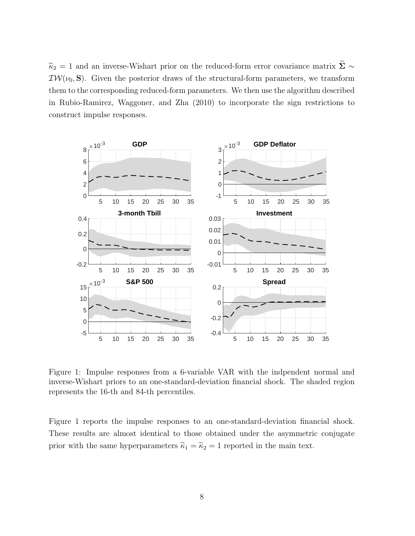$\widetilde{\kappa}_2$  = 1 and an inverse-Wishart prior on the reduced-form error covariance matrix  $\widetilde{\boldsymbol{\Sigma}}$  ∼  $\mathcal{IW}(\nu_0, \mathbf{S})$ . Given the posterior draws of the structural-form parameters, we transform them to the corresponding reduced-form parameters. We then use the algorithm described in Rubio-Ramirez, Waggoner, and Zha (2010) to incorporate the sign restrictions to construct impulse responses.



Figure 1: Impulse responses from a 6-variable VAR with the indpendent normal and inverse-Wishart priors to an one-standard-deviation financial shock. The shaded region represents the 16-th and 84-th percentiles.

Figure 1 reports the impulse responses to an one-standard-deviation financial shock. These results are almost identical to those obtained under the asymmetric conjugate prior with the same hyperparameters  $\widetilde{\kappa}_1 = \widetilde{\kappa}_2 = 1$  reported in the main text.